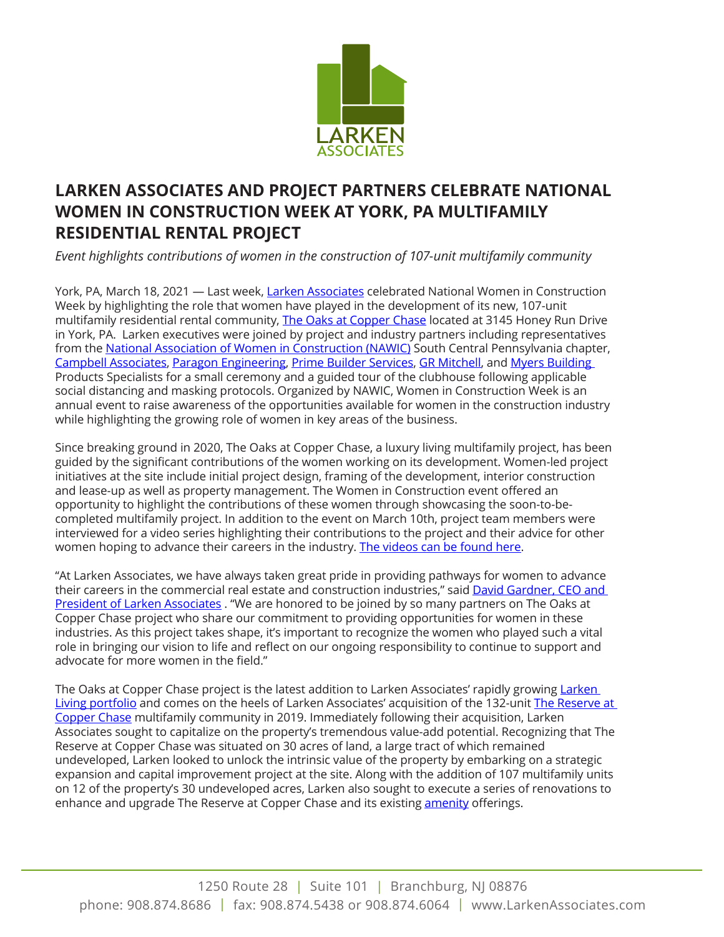

## **LARKEN ASSOCIATES AND PROJECT PARTNERS CELEBRATE NATIONAL WOMEN IN CONSTRUCTION WEEK AT YORK, PA MULTIFAMILY RESIDENTIAL RENTAL PROJECT**

*Event highlights contributions of women in the construction of 107-unit multifamily community* 

York, PA, March 18, 2021 - Last week, [Larken Associates](http://www.larkenassociates.com/) celebrated National Women in Construction Week by highlighting the role that women have played in the development of its new, 107-unit multifamily residential rental community, [The Oaks at Copper Chase](https://www.larkenassociates.com/residential-rentals/the-oaks-at-copper-chase) located at 3145 Honey Run Drive in York, PA. Larken executives were joined by project and industry partners including representatives from the [National Association of Women in Construction \(NAWIC\)](https://www.nawic.org/nawic/default.asp) South Central Pennsylvania chapter, [Campbell Associates](http://www.srcai.com/), [Paragon Engineering,](http://www.peservices.org/) [Prime Builder Services,](https://www.primebuilderservices.com/) [GR Mitchell,](https://www.grmitchell.com/) and [Myers Building](https://myersbps.com/)  Products Specialists for a small ceremony and a guided tour of the clubhouse following applicable social distancing and masking protocols. Organized by NAWIC, Women in Construction Week is an annual event to raise awareness of the opportunities available for women in the construction industry while highlighting the growing role of women in key areas of the business.

Since breaking ground in 2020, The Oaks at Copper Chase, a luxury living multifamily project, has been guided by the significant contributions of the women working on its development. Women-led project initiatives at the site include initial project design, framing of the development, interior construction and lease-up as well as property management. The Women in Construction event offered an opportunity to highlight the contributions of these women through showcasing the soon-to-becompleted multifamily project. In addition to the event on March 10th, project team members were interviewed for a video series highlighting their contributions to the project and their advice for other women hoping to advance their careers in the industry. [The videos can be found here.](https://www.youtube.com/watch?v=uUtBdkEhetU&list=PLZx7a4JlYHs5RptGr7oiMg1M7yCu9uHYu)

"At Larken Associates, we have always taken great pride in providing pathways for women to advance their careers in the commercial real estate and construction industries," said David Gardner, CEO and [President of Larken Associates](https://www.larkenassociates.com/leadership) . "We are honored to be joined by so many partners on The Oaks at Copper Chase project who share our commitment to providing opportunities for women in these industries. As this project takes shape, it's important to recognize the women who played such a vital role in bringing our vision to life and reflect on our ongoing responsibility to continue to support and advocate for more women in the field."

The Oaks at Copper Chase project is the latest addition to [Larken](https://www.larkenassociates.com/residential-rentals) Associates' rapidly growing Larken [Living portfolio](https://www.larkenassociates.com/residential-rentals) and comes on the heels of Larken Associates' acquisition of the 132-unit The Reserve at [Copper Chase](https://www.larkenassociates.com/residential-rentals/the-reserve-at-copper-chase) multifamily community in 2019. Immediately following their acquisition, Larken Associates sought to capitalize on the property's tremendous value-add potential. Recognizing that The Reserve at Copper Chase was situated on 30 acres of land, a large tract of which remained undeveloped, Larken looked to unlock the intrinsic value of the property by embarking on a strategic expansion and capital improvement project at the site. Along with the addition of 107 multifamily units on 12 of the property's 30 undeveloped acres, Larken also sought to execute a series of renovations to enhance and upgrade The Reserve at Copper Chase and its existing **amenity** offerings.